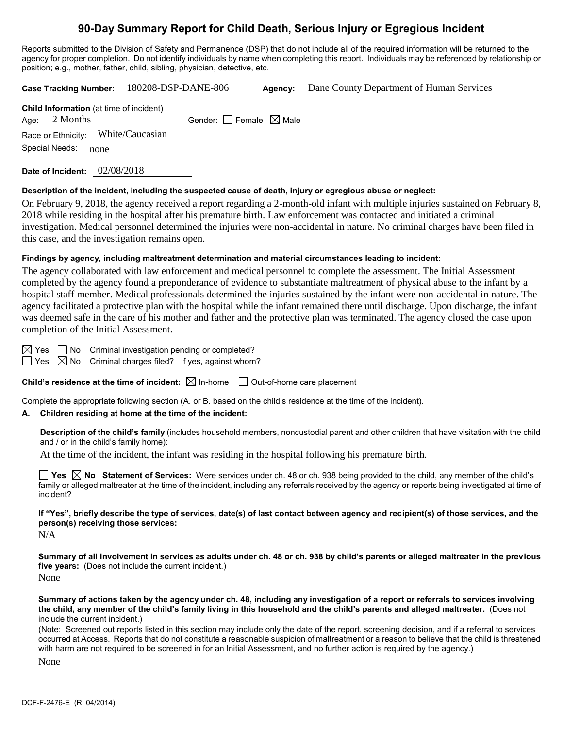# **90-Day Summary Report for Child Death, Serious Injury or Egregious Incident**

Reports submitted to the Division of Safety and Permanence (DSP) that do not include all of the required information will be returned to the agency for proper completion. Do not identify individuals by name when completing this report. Individuals may be referenced by relationship or position; e.g., mother, father, child, sibling, physician, detective, etc.

|                                                                   | Case Tracking Number: 180208-DSP-DANE-806 | Agency: | Dane County Department of Human Services |
|-------------------------------------------------------------------|-------------------------------------------|---------|------------------------------------------|
| <b>Child Information</b> (at time of incident)<br>Age: $2$ Months | Gender: Female $\boxtimes$ Male           |         |                                          |
| Race or Ethnicity: White/Caucasian                                |                                           |         |                                          |
| Special Needs:<br>none                                            |                                           |         |                                          |
| Date of Incident:                                                 | 02/08/2018                                |         |                                          |

**Description of the incident, including the suspected cause of death, injury or egregious abuse or neglect:**

On February 9, 2018, the agency received a report regarding a 2-month-old infant with multiple injuries sustained on February 8, 2018 while residing in the hospital after his premature birth. Law enforcement was contacted and initiated a criminal investigation. Medical personnel determined the injuries were non-accidental in nature. No criminal charges have been filed in this case, and the investigation remains open.

#### **Findings by agency, including maltreatment determination and material circumstances leading to incident:**

The agency collaborated with law enforcement and medical personnel to complete the assessment. The Initial Assessment completed by the agency found a preponderance of evidence to substantiate maltreatment of physical abuse to the infant by a hospital staff member. Medical professionals determined the injuries sustained by the infant were non-accidental in nature. The agency facilitated a protective plan with the hospital while the infant remained there until discharge. Upon discharge, the infant was deemed safe in the care of his mother and father and the protective plan was terminated. The agency closed the case upon completion of the Initial Assessment.

 $\boxtimes$  Yes  $\Box$  No Criminal investigation pending or completed?

 $\Box$  Yes  $\boxtimes$  No Criminal charges filed? If yes, against whom?

**Child's residence at the time of incident:**  $\boxtimes$  In-home  $\Box$  Out-of-home care placement

Complete the appropriate following section (A. or B. based on the child's residence at the time of the incident).

## **A. Children residing at home at the time of the incident:**

**Description of the child's family** (includes household members, noncustodial parent and other children that have visitation with the child and / or in the child's family home):

At the time of the incident, the infant was residing in the hospital following his premature birth.

**Yes No Statement of Services:** Were services under ch. 48 or ch. 938 being provided to the child, any member of the child's family or alleged maltreater at the time of the incident, including any referrals received by the agency or reports being investigated at time of incident?

**If "Yes", briefly describe the type of services, date(s) of last contact between agency and recipient(s) of those services, and the person(s) receiving those services:**

 $N/A$ 

**Summary of all involvement in services as adults under ch. 48 or ch. 938 by child's parents or alleged maltreater in the previous five years:** (Does not include the current incident.) None

**Summary of actions taken by the agency under ch. 48, including any investigation of a report or referrals to services involving the child, any member of the child's family living in this household and the child's parents and alleged maltreater.** (Does not include the current incident.)

(Note: Screened out reports listed in this section may include only the date of the report, screening decision, and if a referral to services occurred at Access. Reports that do not constitute a reasonable suspicion of maltreatment or a reason to believe that the child is threatened with harm are not required to be screened in for an Initial Assessment, and no further action is required by the agency.)

None